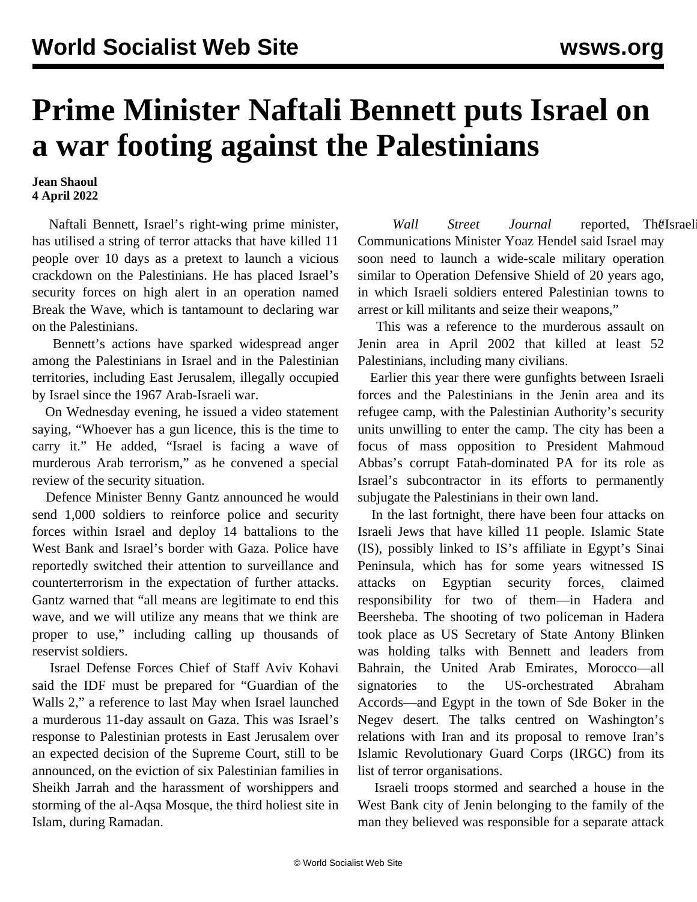## **Prime Minister Naftali Bennett puts Israel on a war footing against the Palestinians**

**Jean Shaoul 4 April 2022**

 Naftali Bennett, Israel's right-wing prime minister, has utilised a string of terror attacks that have killed 11 people over 10 days as a pretext to launch a vicious crackdown on the Palestinians. He has placed Israel's security forces on high alert in an operation named Break the Wave, which is tantamount to declaring war on the Palestinians.

 Bennett's actions have sparked widespread anger among the Palestinians in Israel and in the Palestinian territories, including East Jerusalem, illegally occupied by Israel since the 1967 Arab-Israeli war.

 On Wednesday evening, he issued a video statement saying, "Whoever has a gun licence, this is the time to carry it." He added, "Israel is facing a wave of murderous Arab terrorism," as he convened a special review of the security situation.

 Defence Minister Benny Gantz announced he would send 1,000 soldiers to reinforce police and security forces within Israel and deploy 14 battalions to the West Bank and Israel's border with Gaza. Police have reportedly switched their attention to surveillance and counterterrorism in the expectation of further attacks. Gantz warned that "all means are legitimate to end this wave, and we will utilize any means that we think are proper to use," including calling up thousands of reservist soldiers.

 Israel Defense Forces Chief of Staff Aviv Kohavi said the IDF must be prepared for "Guardian of the Walls 2," a reference to last May when Israel launched a murderous 11-day assault on Gaza. This was Israel's response to Palestinian protests in East Jerusalem over an expected decision of the Supreme Court, still to be announced, on the eviction of six Palestinian families in Sheikh Jarrah and the harassment of worshippers and storming of the al-Aqsa Mosque, the third holiest site in Islam, during Ramadan.

Wall Street Journal reported, The Israel Communications Minister Yoaz Hendel said Israel may soon need to launch a wide-scale military operation similar to Operation Defensive Shield of 20 years ago, in which Israeli soldiers entered Palestinian towns to arrest or kill militants and seize their weapons,"

 This was a reference to the murderous assault on Jenin area in April 2002 that killed at least 52 Palestinians, including many civilians.

 Earlier this year there were gunfights between Israeli forces and the Palestinians in the Jenin area and its refugee camp, with the Palestinian Authority's security units unwilling to enter the camp. The city has been a focus of mass opposition to President Mahmoud Abbas's corrupt Fatah-dominated PA for its role as Israel's subcontractor in its efforts to permanently subjugate the Palestinians in their own land.

 In the last fortnight, there have been four attacks on Israeli Jews that have killed 11 people. Islamic State (IS), possibly linked to IS's affiliate in Egypt's Sinai Peninsula, which has for some years witnessed IS attacks on Egyptian security forces, claimed responsibility for two of them—in Hadera and Beersheba. The shooting of two policeman in Hadera took place as US Secretary of State Antony Blinken was holding talks with Bennett and leaders from Bahrain, the United Arab Emirates, Morocco—all signatories to the US-orchestrated Abraham Accords—and Egypt in the town of Sde Boker in the Negev desert. The talks centred on Washington's relations with Iran and its proposal to remove Iran's Islamic Revolutionary Guard Corps (IRGC) from its list of terror organisations.

 Israeli troops stormed and searched a house in the West Bank city of Jenin belonging to the family of the man they believed was responsible for a separate attack